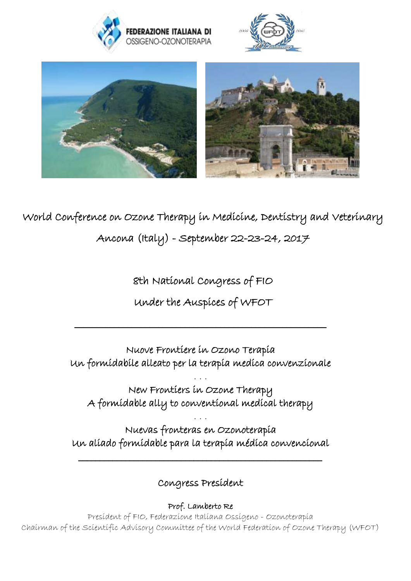





World Conference on Ozone Therapy in Medicine, Dentistry and Veterinary Ancona (Italy) - September 22-23-24, 2017

8th National Congress of FIO

## Under the Auspices of WFOT

\_\_\_\_\_\_\_\_\_\_\_\_\_\_\_\_\_\_\_\_\_\_\_\_\_\_\_\_\_\_\_\_\_\_\_\_\_\_\_\_\_\_\_\_\_\_\_\_\_\_\_\_\_\_\_\_\_

Nuove Frontiere in Ozono Terapia Un formidabile alleato per la terapia medica convenzionale

. . . New Frontiers in Ozone Therapy A formidable ally to conventional medical therapy

Nuevas fronteras en Ozonoterapia Un aliado formidable para la terapia médica convencional

. . .

Congress President

\_\_\_\_\_\_\_\_\_\_\_\_\_\_\_\_\_\_\_\_\_\_\_\_\_\_\_\_\_\_\_\_\_\_\_\_\_\_\_\_\_\_\_\_\_\_\_\_\_\_\_\_\_\_\_\_\_

Prof. Lamberto Re

President of FIO, Federazione Italiana Ossigeno - Ozonoterapia Chairman of the Scientific Advisory Committee of the World Federation of Ozone Therapy (WFOT)